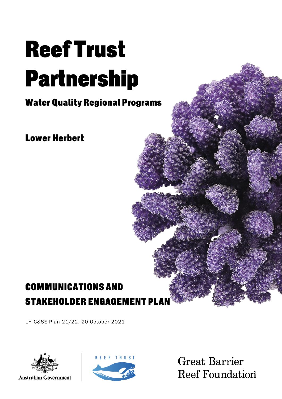# **ReefTrust Partnership**

**Water Quality Regional Programs** 

**Lower Herbert** 

## **COMMUNICATIONS AND STAKEHOLDER ENGAGEMENT PL**

LH C&SE Plan 21/22, 20 October 2021



**Australian Government** 



**Great Barrier Reef Foundation**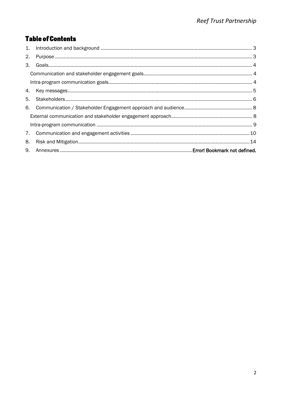## **Table of Contents**

| 2. |  |
|----|--|
| 3. |  |
|    |  |
|    |  |
|    |  |
| 5. |  |
|    |  |
|    |  |
|    |  |
|    |  |
| 8. |  |
|    |  |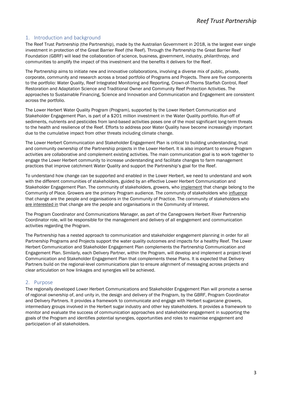#### <span id="page-2-0"></span>1. Introduction and background

The Reef Trust Partnership (the Partnership), made by the Australian Government in 2018, is the largest ever single investment in protection of the Great Barrier Reef (the Reef). Through the Partnership the Great Barrier Reef Foundation (GBRF) will lead the collaboration of science, business, government, industry, philanthropy, and communities to amplify the impact of this investment and the benefits it delivers for the Reef.

The Partnership aims to initiate new and innovative collaborations, involving a diverse mix of public, private, corporate, community and research across a broad portfolio of Programs and Projects. There are five components to the portfolio: Water Quality, Reef Integrated Monitoring and Reporting, Crown-of-Thorns Starfish Control, Reef Restoration and Adaptation Science and Traditional Owner and Community Reef Protection Activities. The approaches to Sustainable Financing, Science and Innovation and Communication and Engagement are consistent across the portfolio.

The Lower Herbert Water Quality Program (Program), supported by the Lower Herbert Communication and Stakeholder Engagement Plan, is part of a \$201 million investment in the Water Quality portfolio. Run-off of sediments, nutrients and pesticides from land-based activities poses one of the most significant long-term threats to the health and resilience of the Reef. Efforts to address poor Water Quality have become increasingly important due to the cumulative impact from other threats including climate change.

The Lower Herbert Communication and Stakeholder Engagement Plan is critical to building understanding, trust and community ownership of the Partnership projects in the Lower Herbert. It is also important to ensure Program activities are collaborative and complement existing activities. The main communication goal is to work together to engage the Lower Herbert community to increase understanding and facilitate changes to farm management practices that improve catchment Water Quality and support the Partnership's goal for the Reef.

To understand how change can be supported and enabled in the Lower Herbert, we need to understand and work with the different communities of stakeholders, guided by an effective Lower Herbert Communication and Stakeholder Engagement Plan. The community of stakeholders, growers, who implement that change belong to the Community of Place. Growers are the primary Program audience. The community of stakeholders who influence that change are the people and organisations in the Community of Practice. The community of stakeholders who are interested in that change are the people and organisations in the Community of Interest.

The Program Coordinator and Communications Manager, as part of the Canegrowers Herbert River Partnership Coordinator role, will be responsible for the management and delivery of all engagement and communication activities regarding the Program.

The Partnership has a nested approach to communication and stakeholder engagement planning in order for all Partnership Programs and Projects support the water quality outcomes and impacts for a healthy Reef. The Lower Herbert Communication and Stakeholder Engagement Plan complements the Partnership Communication and Engagement Plan. Similarly, each Delivery Partner, within the Program, will develop and implement a project-level Communication and Stakeholder Engagement Plan that complements these Plans. It is expected that Delivery Partners build on the regional-level communications plan to ensure alignment of messaging across projects and clear articulation on how linkages and synergies will be achieved.

#### <span id="page-2-1"></span>2. Purpose

The regionally developed Lower Herbert Communications and Stakeholder Engagement Plan will promote a sense of regional ownership of, and unity in, the design and delivery of the Program, by the GBRF, Program Coordinator and Delivery Partners. It provides a framework to communicate and engage with Herbert sugarcane growers, intermediary groups involved in the Herbert sugar industry and other key stakeholders. It provides a framework to monitor and evaluate the success of communication approaches and stakeholder engagement in supporting the goals of the Program and identifies potential synergies, opportunities and roles to maximise engagement and participation of all stakeholders.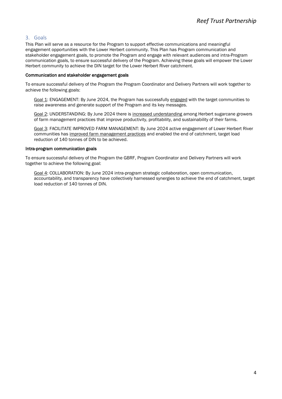#### <span id="page-3-0"></span>3. Goals

This Plan will serve as a resource for the Program to support effective communications and meaningful engagement opportunities with the Lower Herbert community. This Plan has Program communication and stakeholder engagement goals, to promote the Program and engage with relevant audiences and intra-Program communication goals, to ensure successful delivery of the Program. Achieving these goals will empower the Lower Herbert community to achieve the DIN target for the Lower Herbert River catchment.

#### <span id="page-3-1"></span>Communication and stakeholder engagement goals

To ensure successful delivery of the Program the Program Coordinator and Delivery Partners will work together to achieve the following goals:

Goal 1: ENGAGEMENT: By June 2024, the Program has successfully engaged with the target communities to raise awareness and generate support of the Program and its key messages.

Goal 2: UNDERSTANDING: By June 2024 there is increased understanding among Herbert sugarcane growers of farm management practices that improve productivity, profitability, and sustainability of their farms.

Goal 3: FACILITATE IMPROVED FARM MANAGEMENT: By June 2024 active engagement of Lower Herbert River communities has improved farm management practices and enabled the end of catchment, target load reduction of 140 tonnes of DIN to be achieved.

#### <span id="page-3-2"></span>Intra-program communication goals

To ensure successful delivery of the Program the GBRF, Program Coordinator and Delivery Partners will work together to achieve the following goal:

Goal 4: COLLABORATION: By June 2024 intra-program strategic collaboration, open communication, accountability, and transparency have collectively harnessed synergies to achieve the end of catchment, target load reduction of 140 tonnes of DIN.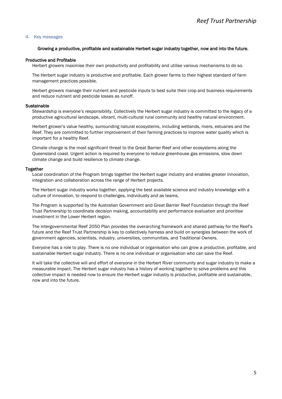#### <span id="page-4-0"></span>4. Key messages

#### Growing a productive, profitable and sustainable Herbert sugar industry together, now and into the future.

#### Productive and Profitable

Herbert growers maximise their own productivity and profitability and utilise various mechanisms to do so.

The Herbert sugar industry is productive and profitable. Each grower farms to their highest standard of farm management practices possible.

Herbert growers manage their nutrient and pesticide inputs to best suite their crop and business requirements and reduce nutrient and pesticide losses as runoff.

#### **Sustainable**

Stewardship is everyone's responsibility. Collectively the Herbert sugar industry is committed to the legacy of a productive agricultural landscape, vibrant, multi-cultural rural community and healthy natural environment.

Herbert grower's value healthy, surrounding natural ecosystems, including wetlands, rivers, estuaries and the Reef. They are committed to further improvement of their farming practices to improve water quality which is important for a healthy Reef.

Climate change is the most significant threat to the Great Barrier Reef and other ecosystems along the Queensland coast. Urgent action is required by everyone to reduce greenhouse gas emissions, slow down climate change and build resilience to climate change.

#### Together

Local coordination of the Program brings together the Herbert sugar industry and enables greater innovation, integration and collaboration across the range of Herbert projects.

The Herbert sugar industry works together, applying the best available science and industry knowledge with a culture of innovation, to respond to challenges, individually and as teams.

The Program is supported by the Australian Government and Great Barrier Reef Foundation through the Reef Trust Partnership to coordinate decision making, accountability and performance evaluation and prioritise investment in the Lower Herbert region.

The intergovernmental Reef 2050 Plan provides the overarching framework and shared pathway for the Reef's future and the Reef Trust Partnership is key to collectively harness and build on synergies between the work of government agencies, scientists, industry, universities, communities, and Traditional Owners.

Everyone has a role to play. There is no one individual or organisation who can grow a productive, profitable, and sustainable Herbert sugar industry. There is no one individual or organisation who can save the Reef.

It will take the collective will and effort of everyone in the Herbert River community and sugar industry to make a measurable impact. The Herbert sugar industry has a history of working together to solve problems and this collective impact is needed now to ensure the Herbert sugar industry is productive, profitable and sustainable, now and into the future.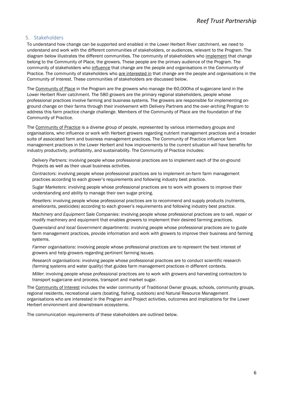#### <span id="page-5-0"></span>5. Stakeholders

To understand how change can be supported and enabled in the Lower Herbert River catchment, we need to understand and work with the different communities of stakeholders, or audiences, relevant to the Program. The diagram below illustrates the different communities. The community of stakeholders who implement that change belong to the Community of Place, the growers. These people are the primary audience of the Program. The community of stakeholders who influence that change are the people and organisations in the Community of Practice. The community of stakeholders who are interested in that change are the people and organisations in the Community of Interest. These communities of stakeholders are discussed below.

The Community of Place in the Program are the growers who manage the 60,000ha of sugarcane land in the Lower Herbert River catchment. The 580 growers are the primary regional stakeholders, people whose professional practices involve farming and business systems. The growers are responsible for implementing onground change on their farms through their involvement with Delivery Partners and the over-arching Program to address this farm practice change challenge. Members of the Community of Place are the foundation of the Community of Practice.

The Community of Practice is a diverse group of people, represented by various intermediary groups and organisations, who influence or work with Herbert growers regarding nutrient management practices and a broader suite of associated farm and business management practices. The Community of Practice influence farm management practices in the Lower Herbert and how improvements to the current situation will have benefits for industry productivity, profitability, and sustainability. The Community of Practice includes:

*Delivery Partners:* involving people whose professional practices are to implement each of the on-ground Projects as well as their usual business activities.

*Contractors*: involving people whose professional practices are to implement on-farm farm management practices according to each grower's requirements and following industry best practice.

*Sugar Marketers*: involving people whose professional practices are to work with growers to improve their understanding and ability to manage their own sugar pricing.

*Resellers*: involving people whose professional practices are to recommend and supply products (nutrients, ameliorants, pesticides) according to each grower's requirements and following industry best practice.

*Machinery and Equipment Sale Companies*: involving people whose professional practices are to sell, repair or modify machinery and equipment that enables growers to implement their desired farming practices.

*Queensland and local Government departments*: involving people whose professional practices are to guide farm management practices, provide information and work with growers to improve their business and farming systems.

*Farmer organisations*: involving people whose professional practices are to represent the best interest of growers and help growers regarding pertinent farming issues.

*Research organisations*: involving people whose professional practices are to conduct scientific research (farming systems and water quality) that guides farm management practices in different contexts.

*Miller*: involving people whose professional practices are to work with growers and harvesting contractors to transport sugarcane and process, transport and market sugar.

The Community of Interest includes the wider community of Traditional Owner groups, schools, community groups, regional residents, recreational users (boating, fishing, outdoors) and Natural Resource Management organisations who are interested in the Program and Project activities, outcomes and implications for the Lower Herbert environment and downstream ecosystems.

The communication requirements of these stakeholders are outlined below.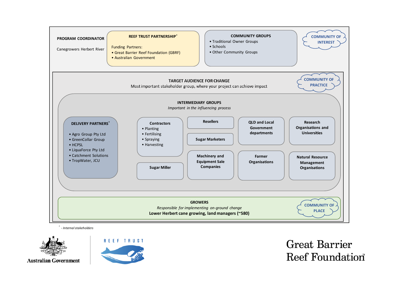

*\* - Internal stakeholders*





**Great Barrier** Reef Foundation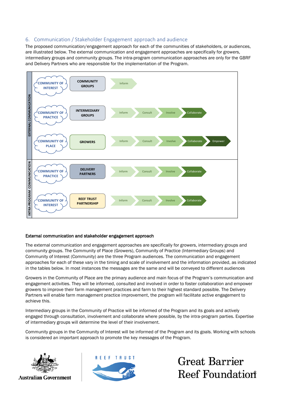#### <span id="page-7-0"></span>6. Communication / Stakeholder Engagement approach and audience

The proposed communication/engagement approach for each of the communities of stakeholders, or audiences, are illustrated below. The external communication and engagement approaches are specifically for growers, intermediary groups and community groups. The intra-program communication approaches are only for the GBRF and Delivery Partners who are responsible for the implementation of the Program.



#### <span id="page-7-1"></span>External communication and stakeholder engagement approach

The external communication and engagement approaches are specifically for growers, intermediary groups and community groups. The Community of Place (Growers), Community of Practice (Intermediary Groups) and Community of Interest (Community) are the three Program audiences. The communication and engagement approaches for each of these vary in the timing and scale of involvement and the information provided, as indicated in the tables below. In most instances the messages are the same and will be conveyed to different audiences

Growers in the Community of Place are the primary audience and main focus of the Program's communication and engagement activities. They will be informed, consulted and involved in order to foster collaboration and empower growers to improve their farm management practices and farm to their highest standard possible. The Delivery Partners will enable farm management practice improvement, the program will facilitate active engagement to achieve this.

Intermediary groups in the Community of Practice will be informed of the Program and its goals and actively engaged through consultation, involvement and collaborate where possible, by the intra-program parties. Expertise of intermediary groups will determine the level of their involvement.

Community groups in the Community of Interest will be informed of the Program and its goals. Working with schools



**Australian Government** 



**Great Barrier Reef Foundation**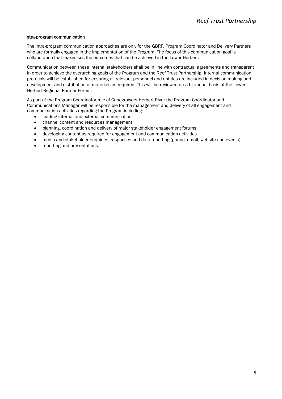#### <span id="page-8-0"></span>Intra-program communication

The intra-program communication approaches are only for the GBRF, Program Coordinator and Delivery Partners who are formally engaged in the implementation of the Program. The focus of this communication goal is collaboration that maximises the outcomes that can be achieved in the Lower Herbert.

Communication between these internal stakeholders shall be in line with contractual agreements and transparent in order to achieve the overarching goals of the Program and the Reef Trust Partnership. Internal communication protocols will be established for ensuring all relevant personnel and entities are included in decision-making and development and distribution of materials as required. This will be reviewed on a bi-annual basis at the Lower Herbert Regional Partner Forum.

As part of the Program Coordinator role of Canegrowers Herbert River the Program Coordinator and Communications Manager will be responsible for the management and delivery of all engagement and communication activities regarding the Program including:

- leading internal and external communication
- channel content and resources management
- planning, coordination and delivery of major stakeholder engagement forums
- developing content as required for engagement and communication activities
- media and stakeholder enquiries, responses and data reporting (phone, email, website and events)
- reporting and presentations.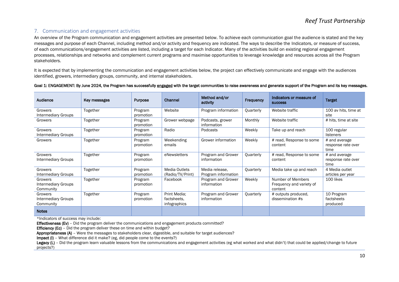#### 7. Communication and engagement activities

An overview of the Program communication and engagement activities are presented below. To achieve each communication goal the audience is stated and the key messages and purpose of each Channel, including method and/or activity and frequency are indicated. The ways to describe the Indicators, or measure of success, of each communications/engagement activities are listed, including a target for each Indicator. Many of the activities build on existing regional engagement processes, relationships and networks and complement current programs and maximise opportunities to leverage knowledge and resources across all the Program stakeholders.

It is expected that by implementing the communication and engagement activities below, the project can effectively communicate and engage with the audiences identified, growers, intermediary groups, community, and internal stakeholders.

#### Goal 1: ENGAGEMENT: By June 2024, the Program has successfully engaged with the target communities to raise awareness and generate support of the Program and its key messages.

<span id="page-9-0"></span>

| Audience                                           | Key messages | <b>Purpose</b>       | <b>Channel</b>                              | Method and/or<br>activity             | Frequency | Indicators or measure of<br><b>SUCCESS</b>               | <b>Target</b>                               |
|----------------------------------------------------|--------------|----------------------|---------------------------------------------|---------------------------------------|-----------|----------------------------------------------------------|---------------------------------------------|
| Growers<br>Intermediary Groups                     | Together     | Program<br>promotion | Website                                     | Program information                   | Quarterly | Website traffic                                          | 100 av hits, time at<br>site                |
| Growers                                            | Together     | Program<br>promotion | Grower webpage                              | Podcasts, grower<br>information       | Monthly   | Website traffic                                          | # hits, time at site                        |
| Growers<br><b>Intermediary Groups</b>              | Together     | Program<br>promotion | Radio                                       | Podcasts                              | Weekly    | Take up and reach                                        | 100 regular<br>listeners                    |
| Growers                                            | Together     | Program<br>promotion | Weekending<br>emails                        | Grower information                    | Weekly    | # read, Response to some<br>content                      | # and average<br>response rate over<br>time |
| Growers<br><b>Intermediary Groups</b>              | Together     | Program<br>promotion | eNewsletters                                | Program and Grower<br>information     | Quarterly | # read, Response to some<br>content                      | # and average<br>response rate over<br>time |
| Growers<br>Intermediary Groups                     | Together     | Program<br>promotion | Media Outlets<br>(Radio/TV/Print)           | Media release.<br>Program information | Quarterly | Media take up and reach                                  | 4 Media outlet<br>articles per year         |
| Growers<br><b>Intermediary Groups</b><br>Community | Together     | Program<br>promotion | Facebook                                    | Program and Grower<br>information     | Weekly    | Number of Members<br>Frequency and variety of<br>content | 100 likes                                   |
| Growers<br><b>Intermediary Groups</b><br>Community | Together     | Program<br>promotion | Print Media:<br>factsheets.<br>infographics | Program and Grower<br>information     | Quarterly | # outputs produced,<br>dissemination #s                  | 10 Program<br>factsheets<br>produced        |
| <b>Notes</b>                                       |              |                      |                                             |                                       |           |                                                          |                                             |

\*Indicators of success may include:

Effectiveness (Ev) - Did the program deliver the communications and engagement products committed?

**Efficiency (Ec)** - Did the program deliver these on time and within budget?

Appropriateness (A) – Were the messages to stakeholders clear, digestible, and suitable for target audiences?

Impact (I) – What difference did it make? (eg, did people come to the events?)

Legacy (L) - Did the program learn valuable lessons from the communications and engagement activities (eg what worked and what didn't) that could be applied/change to future projects?)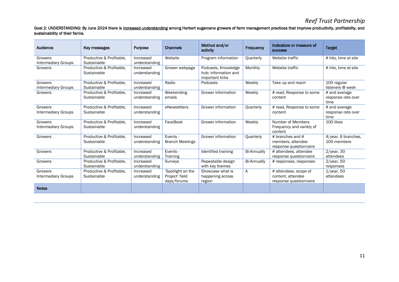## *Reef Trust Partnership*

#### Goal 2: UNDERSTANDING: By June 2024 there is increased understanding among Herbert sugarcane growers of farm management practices that improve productivity, profitability, and sustainability of their farms.

| Audience                              | Key messages                            | <b>Purpose</b>             | <b>Channels</b>                                    | Method and/or<br>activity                                      | Frequency          | Indicators or measure of<br><b>SUCCESS</b>                           | <b>Target</b>                               |
|---------------------------------------|-----------------------------------------|----------------------------|----------------------------------------------------|----------------------------------------------------------------|--------------------|----------------------------------------------------------------------|---------------------------------------------|
| Growers<br><b>Intermediary Groups</b> | Productive & Profitable.<br>Sustainable | Increased<br>understanding | Website                                            | Program information                                            | Quarterly          | Website traffic                                                      | # hits, time at site                        |
| Growers                               | Productive & Profitable,<br>Sustainable | Increased<br>understanding | Grower webpage                                     | Podcasts, Knowledge<br>hub; information and<br>important links | Monthly            | Website traffic                                                      | # hits, time at site                        |
| Growers<br><b>Intermediary Groups</b> | Productive & Profitable,<br>Sustainable | Increased<br>understanding | Radio                                              | Podcasts                                                       | Weekly             | Take up and reach                                                    | 100 regular<br>listeners @ week             |
| Growers                               | Productive & Profitable,<br>Sustainable | Increased<br>understanding | Weekending<br>emails                               | Grower information                                             | Weekly             | # read, Response to some<br>content                                  | # and average<br>response rate over<br>time |
| Growers<br><b>Intermediary Groups</b> | Productive & Profitable.<br>Sustainable | Increased<br>understanding | eNewsletters                                       | Grower information                                             | Quarterly          | # read, Response to some<br>content                                  | # and average<br>response rate over<br>time |
| Growers<br><b>Intermediary Groups</b> | Productive & Profitable.<br>Sustainable | Increased<br>understanding | FaceBook                                           | Grower information                                             | Weekly             | Number of Members<br>Frequency and variety of<br>content             | 100 likes                                   |
| Growers                               | Productive & Profitable.<br>Sustainable | Increased<br>understanding | Events -<br><b>Branch Meetings</b>                 | Grower information                                             | Quarterly          | # branches and $#$<br>members, attendee<br>response questionnaire    | 4/year, 6 branches,<br>100 members          |
| Growers                               | Productive & Profitable,<br>Sustainable | Increased<br>understanding | Events -<br>Training                               | Identified training                                            | <b>Bi-Annually</b> | # attendees, attendee<br>response questionnaire                      | $2$ /year, 30<br>attendees                  |
| Growers                               | Productive & Profitable,<br>Sustainable | Increased<br>understanding | Surveys                                            | Repeatable design<br>with key themes                           | <b>Bi-Annually</b> | # responses, responses                                               | $2$ /year, 50<br>responses                  |
| Growers<br><b>Intermediary Groups</b> | Productive & Profitable.<br>Sustainable | Increased<br>understanding | 'Spotlight on the<br>Project' field<br>days/forums | Showcase what is<br>happening across<br>region                 | A                  | # attendees, scope of<br>content, attendee<br>response questionnaire | $1$ /year, 50<br>attendees                  |
| <b>Notes</b>                          |                                         |                            |                                                    |                                                                |                    |                                                                      |                                             |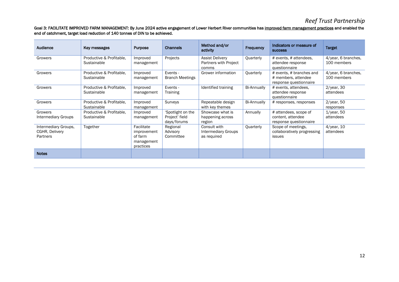## *Reef Trust Partnership*

#### Goal 3: FACILITATE IMPROVED FARM MANAGEMENT: By June 2024 active engagement of Lower Herbert River communities has improved farm management practices and enabled the end of catchment, target load reduction of 140 tonnes of DIN to be achieved.

| Audience                                                  | Key messages                            | <b>Purpose</b>                                                  | <b>Channels</b>                                    | Method and/or<br>activity                                | Frequency          | Indicators or measure of<br><b>SUCCESS</b>                                | <b>Target</b>                      |
|-----------------------------------------------------------|-----------------------------------------|-----------------------------------------------------------------|----------------------------------------------------|----------------------------------------------------------|--------------------|---------------------------------------------------------------------------|------------------------------------|
| Growers                                                   | Productive & Profitable,<br>Sustainable | Improved<br>management                                          | Projects                                           | <b>Assist Delivery</b><br>Partners with Project<br>comms | Quarterly          | # events, # attendees,<br>attendee response<br>questionnaire              | 4/year, 6 branches,<br>100 members |
| Growers                                                   | Productive & Profitable.<br>Sustainable | Improved<br>management                                          | Events -<br><b>Branch Meetings</b>                 | Grower information                                       | Quarterly          | # events, # branches and<br># members, attendee<br>response questionnaire | 4/year, 6 branches,<br>100 members |
| Growers                                                   | Productive & Profitable.<br>Sustainable | Improved<br>management                                          | Events -<br>Training                               | Identified training                                      | Bi-Annually        | # events, attendees,<br>attendee response<br>questionnaire                | $2$ /year, 30<br>attendees         |
| Growers                                                   | Productive & Profitable,<br>Sustainable | Improved<br>management                                          | Surveys                                            | Repeatable design<br>with key themes                     | <b>Bi-Annually</b> | # responses, responses                                                    | $2$ /year, 50<br>responses         |
| Growers<br><b>Intermediary Groups</b>                     | Productive & Profitable,<br>Sustainable | Improved<br>management                                          | 'Spotlight on the<br>Project' field<br>days/forums | Showcase what is<br>happening across<br>region           | Annually           | # attendees, scope of<br>content, attendee<br>response questionnaire      | $1$ /year, 50<br>attendees         |
| Intermediary Groups,<br>CGHR, Delivery<br><b>Partners</b> | Together                                | Facilitate<br>improvement<br>of farm<br>management<br>practices | Regional<br>Advisory<br>Committee                  | Consult with<br>Intermediary Groups<br>as required       | Quarterly          | Scope of meetings,<br>collaboratively progressing<br>issues               | $4$ /year, 10<br>attendees         |
| <b>Notes</b>                                              |                                         |                                                                 |                                                    |                                                          |                    |                                                                           |                                    |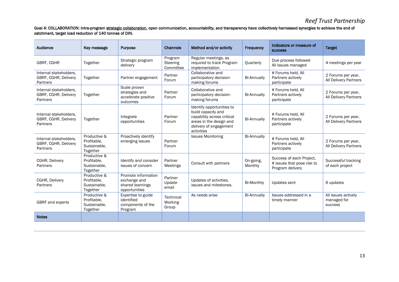## *Reef Trust Partnership*

Goal 4: COLLABORATION: Intra-program strategic collaboration, open communication, accountability, and transparency have collectively harnessed synergies to achieve the end of catchment, target load reduction of 140 tonnes of DIN.

| Audience                                                   | Key message                                             | <b>Purpose</b>                                                           | <b>Channels</b>                      | Method and/or activity                                                                                                                           | Frequency            | Indicators or measure of<br><b>SUCCESS</b>                                 | <b>Target</b>                                        |
|------------------------------------------------------------|---------------------------------------------------------|--------------------------------------------------------------------------|--------------------------------------|--------------------------------------------------------------------------------------------------------------------------------------------------|----------------------|----------------------------------------------------------------------------|------------------------------------------------------|
| GBRF, CGHR                                                 | Together                                                | Strategic program<br>delivery                                            | Program<br>Steering<br>Committee     | Regular meetings, as<br>required to track Program<br>implementation                                                                              | Quarterly            | Due process followed<br>All issues managed                                 | 4 meetings per year                                  |
| Internal stakeholders,<br>GBRF, CGHR, Delivery<br>Partners | Together                                                | Partner engagement                                                       | Partner<br>Forum                     | Collaborative and<br>participatory decision-<br>making forums                                                                                    | <b>Bi-Annually</b>   | # Forums held, All<br>Partners actively<br>participate                     | 2 Forums per year,<br>All Delivery Partners          |
| Internal stakeholders.<br>GBRF, CGHR, Delivery<br>Partners | Together                                                | Scale proven<br>strategies and<br>accelerate positive<br>outcomes        | Partner<br>Forum                     | Collaborative and<br>participatory decision-<br>making forums                                                                                    | <b>Bi-Annually</b>   | # Forums held, All<br>Partners actively<br>participate                     | 2 Forums per year,<br>All Delivery Partners          |
| Internal stakeholders.<br>GBRF, CGHR, Delivery<br>Partners | Together                                                | Integrate<br>opportunities                                               | Partner<br>Forum                     | Identify opportunities to<br>build capacity and<br>capability across critical<br>areas in the design and<br>delivery of engagement<br>activities | <b>Bi-Annually</b>   | # Forums held, All<br>Partners actively<br>participate                     | 2 Forums per year,<br><b>All Delivery Partners</b>   |
| Internal stakeholders.<br>GBRF, CGHR, Delivery<br>Partners | Productive &<br>Profitable.<br>Sustainable,<br>Together | Proactively identify<br>emerging issues                                  | Partner<br>Forum                     | <b>Issues Monitoring</b>                                                                                                                         | <b>Bi-Annually</b>   | # Forums held, All<br>Partners actively<br>participate                     | 2 Forums per year,<br>All Delivery Partners          |
| CGHR, Delivery<br>Partners                                 | Productive &<br>Profitable.<br>Sustainable,<br>Together | Identify and consider<br>issues of concern                               | Partner<br>Meetings                  | Consult with partners                                                                                                                            | On-going,<br>Monthly | Success of each Project.<br># issues that pose risk to<br>Program delivery | Successful tracking<br>of each project               |
| CGHR, Delivery<br>Partners                                 | Productive &<br>Profitable.<br>Sustainable,<br>Together | Promote information<br>exchange and<br>shared learnings<br>opportunities | Partner<br>Update<br>email           | Updates of activities,<br>issues and milestones.                                                                                                 | <b>Bi-Monthly</b>    | <b>Updates sent</b>                                                        | 6 updates                                            |
| <b>GBRF</b> and experts                                    | Productive &<br>Profitable.<br>Sustainable,<br>Together | Expertise to guide<br>identified<br>components of the<br>Program         | <b>Technical</b><br>Working<br>Group | As needs arise                                                                                                                                   | <b>Bi-Annually</b>   | Issues addressed in a<br>timely manner                                     | All issues actively<br>managed for<br><b>SUCCESS</b> |
| <b>Notes</b>                                               |                                                         |                                                                          |                                      |                                                                                                                                                  |                      |                                                                            |                                                      |